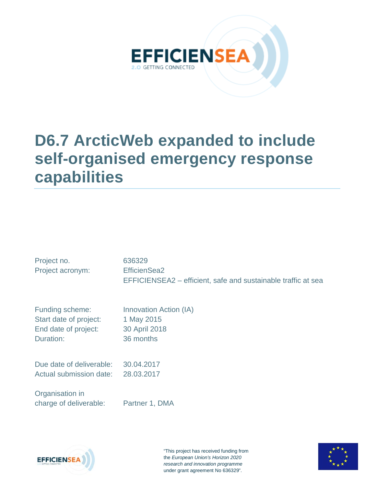

# **D6.7 ArcticWeb expanded to include self-organised emergency response capabilities**

| Project no.              | 636329                                                        |
|--------------------------|---------------------------------------------------------------|
| Project acronym:         | EfficienSea2                                                  |
|                          | EFFICIENSEA2 – efficient, safe and sustainable traffic at sea |
| Funding scheme:          | Innovation Action (IA)                                        |
| Start date of project:   | 1 May 2015                                                    |
| End date of project:     | 30 April 2018                                                 |
| Duration:                | 36 months                                                     |
| Due date of deliverable: | 30.04.2017                                                    |
| Actual submission date:  | 28.03.2017                                                    |

Organisation in charge of deliverable: Partner 1, DMA



"This project has received funding from the *European Union's Horizon 2020 research and innovation programme*  under grant agreement No 636329".

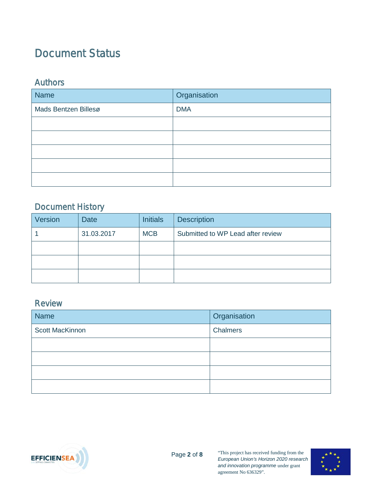### <span id="page-1-0"></span>Document Status

#### <span id="page-1-1"></span>Authors

| <b>Name</b>          | Organisation |
|----------------------|--------------|
| Mads Bentzen Billesø | <b>DMA</b>   |
|                      |              |
|                      |              |
|                      |              |
|                      |              |
|                      |              |

### <span id="page-1-2"></span>Document History

| Version | <b>Date</b> | <b>Initials</b> | <b>Description</b>                |
|---------|-------------|-----------------|-----------------------------------|
|         | 31.03.2017  | <b>MCB</b>      | Submitted to WP Lead after review |
|         |             |                 |                                   |
|         |             |                 |                                   |
|         |             |                 |                                   |

#### <span id="page-1-3"></span>Review

| Name                   | Organisation |
|------------------------|--------------|
| <b>Scott MacKinnon</b> | Chalmers     |
|                        |              |
|                        |              |
|                        |              |
|                        |              |



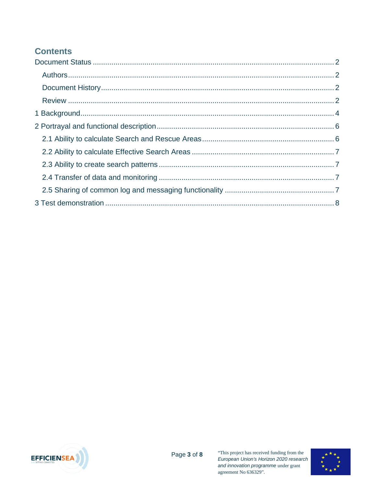### **Contents**



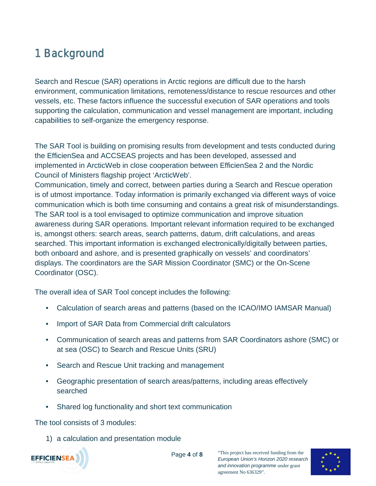## <span id="page-3-0"></span>1 Background

Search and Rescue (SAR) operations in Arctic regions are difficult due to the harsh environment, communication limitations, remoteness/distance to rescue resources and other vessels, etc. These factors influence the successful execution of SAR operations and tools supporting the calculation, communication and vessel management are important, including capabilities to self-organize the emergency response.

The SAR Tool is building on promising results from development and tests conducted during the EfficienSea and ACCSEAS projects and has been developed, assessed and implemented in ArcticWeb in close cooperation between EfficienSea 2 and the Nordic Council of Ministers flagship project 'ArcticWeb'.

Communication, timely and correct, between parties during a Search and Rescue operation is of utmost importance. Today information is primarily exchanged via different ways of voice communication which is both time consuming and contains a great risk of misunderstandings. The SAR tool is a tool envisaged to optimize communication and improve situation awareness during SAR operations. Important relevant information required to be exchanged is, amongst others: search areas, search patterns, datum, drift calculations, and areas searched. This important information is exchanged electronically/digitally between parties, both onboard and ashore, and is presented graphically on vessels' and coordinators' displays. The coordinators are the SAR Mission Coordinator (SMC) or the On-Scene Coordinator (OSC).

The overall idea of SAR Tool concept includes the following:

- Calculation of search areas and patterns (based on the ICAO/IMO IAMSAR Manual)
- Import of SAR Data from Commercial drift calculators
- Communication of search areas and patterns from SAR Coordinators ashore (SMC) or at sea (OSC) to Search and Rescue Units (SRU)
- Search and Rescue Unit tracking and management
- Geographic presentation of search areas/patterns, including areas effectively searched
- Shared log functionality and short text communication

The tool consists of 3 modules:

1) a calculation and presentation module



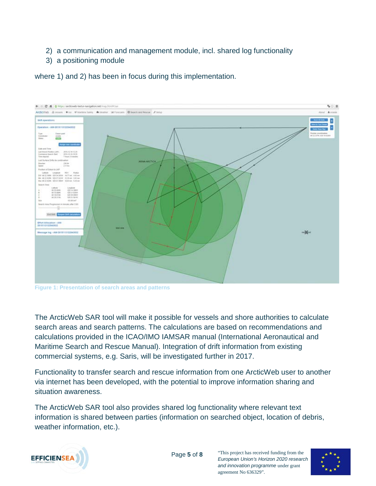- 2) a communication and management module, incl. shared log functionality
- 3) a positioning module

where 1) and 2) has been in focus during this implementation.



**Figure 1: Presentation of search areas and patterns**

The ArcticWeb SAR tool will make it possible for vessels and shore authorities to calculate search areas and search patterns. The calculations are based on recommendations and calculations provided in the ICAO/IMO IAMSAR manual (International Aeronautical and Maritime Search and Rescue Manual). Integration of drift information from existing commercial systems, e.g. Saris, will be investigated further in 2017.

Functionality to transfer search and rescue information from one ArcticWeb user to another via internet has been developed, with the potential to improve information sharing and situation awareness.

The ArcticWeb SAR tool also provides shared log functionality where relevant text information is shared between parties (information on searched object, location of debris, weather information, etc.).



agreement No 636329".

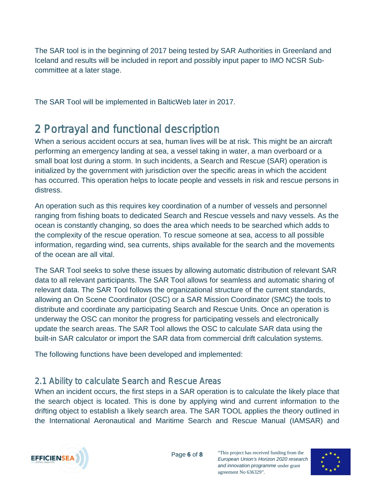The SAR tool is in the beginning of 2017 being tested by SAR Authorities in Greenland and Iceland and results will be included in report and possibly input paper to IMO NCSR Subcommittee at a later stage.

The SAR Tool will be implemented in BalticWeb later in 2017.

### <span id="page-5-0"></span>2 Portrayal and functional description

When a serious accident occurs at sea, human lives will be at risk. This might be an aircraft performing an emergency landing at sea, a vessel taking in water, a man overboard or a small boat lost during a storm. In such incidents, a Search and Rescue (SAR) operation is initialized by the government with jurisdiction over the specific areas in which the accident has occurred. This operation helps to locate people and vessels in risk and rescue persons in distress.

An operation such as this requires key coordination of a number of vessels and personnel ranging from fishing boats to dedicated Search and Rescue vessels and navy vessels. As the ocean is constantly changing, so does the area which needs to be searched which adds to the complexity of the rescue operation. To rescue someone at sea, access to all possible information, regarding wind, sea currents, ships available for the search and the movements of the ocean are all vital.

The SAR Tool seeks to solve these issues by allowing automatic distribution of relevant SAR data to all relevant participants. The SAR Tool allows for seamless and automatic sharing of relevant data. The SAR Tool follows the organizational structure of the current standards, allowing an On Scene Coordinator (OSC) or a SAR Mission Coordinator (SMC) the tools to distribute and coordinate any participating Search and Rescue Units. Once an operation is underway the OSC can monitor the progress for participating vessels and electronically update the search areas. The SAR Tool allows the OSC to calculate SAR data using the built-in SAR calculator or import the SAR data from commercial drift calculation systems.

The following functions have been developed and implemented:

### <span id="page-5-1"></span>2.1 Ability to calculate Search and Rescue Areas

When an incident occurs, the first steps in a SAR operation is to calculate the likely place that the search object is located. This is done by applying wind and current information to the drifting object to establish a likely search area. The SAR TOOL applies the theory outlined in the International Aeronautical and Maritime Search and Rescue Manual (IAMSAR) and



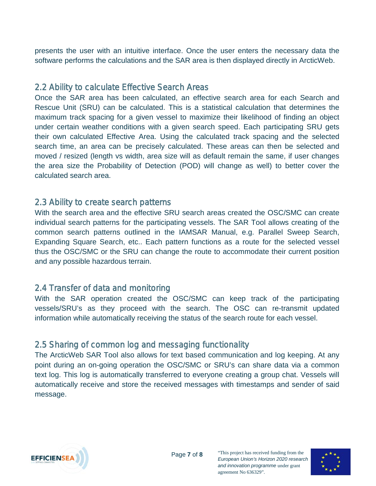presents the user with an intuitive interface. Once the user enters the necessary data the software performs the calculations and the SAR area is then displayed directly in ArcticWeb.

#### <span id="page-6-0"></span>2.2 Ability to calculate Effective Search Areas

Once the SAR area has been calculated, an effective search area for each Search and Rescue Unit (SRU) can be calculated. This is a statistical calculation that determines the maximum track spacing for a given vessel to maximize their likelihood of finding an object under certain weather conditions with a given search speed. Each participating SRU gets their own calculated Effective Area. Using the calculated track spacing and the selected search time, an area can be precisely calculated. These areas can then be selected and moved / resized (length vs width, area size will as default remain the same, if user changes the area size the Probability of Detection (POD) will change as well) to better cover the calculated search area.

#### <span id="page-6-1"></span>2.3 Ability to create search patterns

With the search area and the effective SRU search areas created the OSC/SMC can create individual search patterns for the participating vessels. The SAR Tool allows creating of the common search patterns outlined in the IAMSAR Manual, e.g. Parallel Sweep Search, Expanding Square Search, etc.. Each pattern functions as a route for the selected vessel thus the OSC/SMC or the SRU can change the route to accommodate their current position and any possible hazardous terrain.

### <span id="page-6-2"></span>2.4 Transfer of data and monitoring

With the SAR operation created the OSC/SMC can keep track of the participating vessels/SRU's as they proceed with the search. The OSC can re-transmit updated information while automatically receiving the status of the search route for each vessel.

### <span id="page-6-3"></span>2.5 Sharing of common log and messaging functionality

The ArcticWeb SAR Tool also allows for text based communication and log keeping. At any point during an on-going operation the OSC/SMC or SRU's can share data via a common text log. This log is automatically transferred to everyone creating a group chat. Vessels will automatically receive and store the received messages with timestamps and sender of said message.